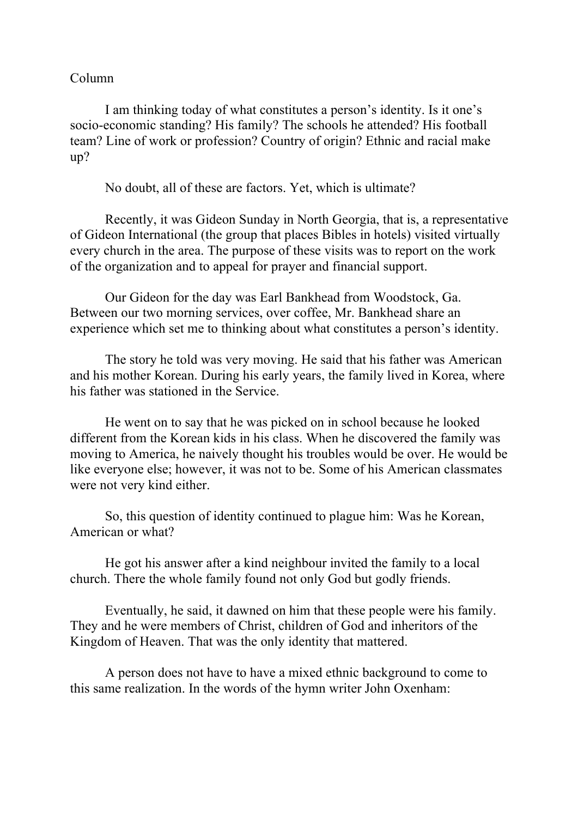## Column

I am thinking today of what constitutes a person's identity. Is it one's socio-economic standing? His family? The schools he attended? His football team? Line of work or profession? Country of origin? Ethnic and racial make up?

No doubt, all of these are factors. Yet, which is ultimate?

Recently, it was Gideon Sunday in North Georgia, that is, a representative of Gideon International (the group that places Bibles in hotels) visited virtually every church in the area. The purpose of these visits was to report on the work of the organization and to appeal for prayer and financial support.

Our Gideon for the day was Earl Bankhead from Woodstock, Ga. Between our two morning services, over coffee, Mr. Bankhead share an experience which set me to thinking about what constitutes a person's identity.

The story he told was very moving. He said that his father was American and his mother Korean. During his early years, the family lived in Korea, where his father was stationed in the Service.

He went on to say that he was picked on in school because he looked different from the Korean kids in his class. When he discovered the family was moving to America, he naively thought his troubles would be over. He would be like everyone else; however, it was not to be. Some of his American classmates were not very kind either.

So, this question of identity continued to plague him: Was he Korean, American or what?

He got his answer after a kind neighbour invited the family to a local church. There the whole family found not only God but godly friends.

Eventually, he said, it dawned on him that these people were his family. They and he were members of Christ, children of God and inheritors of the Kingdom of Heaven. That was the only identity that mattered.

A person does not have to have a mixed ethnic background to come to this same realization. In the words of the hymn writer John Oxenham: